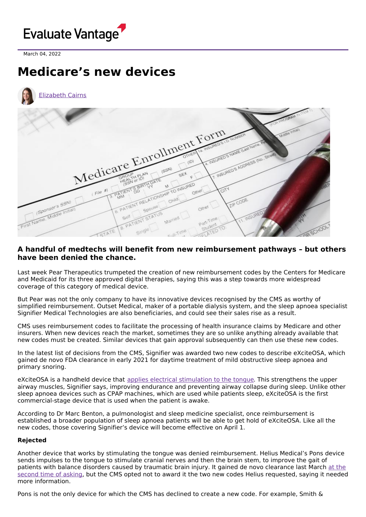

March 04, 2022

## **Medicare's new devices**



## **A handful of medtechs will benefit from new reimbursement pathways – but others have been denied the chance.**

Last week Pear Therapeutics trumpeted the creation of new reimbursement codes by the Centers for Medicare and Medicaid for its three approved digital therapies, saying this was a step towards more widespread coverage of this category of medical device.

But Pear was not the only company to have its innovative devices recognised by the CMS as worthy of simplified reimbursement. Outset Medical, maker of a portable dialysis system, and the sleep apnoea specialist Signifier Medical Technologies are also beneficiaries, and could see their sales rise as a result.

CMS uses reimbursement codes to facilitate the processing of health insurance claims by Medicare and other insurers. When new devices reach the market, sometimes they are so unlike anything already available that new codes must be created. Similar devices that gain approval subsequently can then use these new codes.

In the latest list of decisions from the CMS, Signifier was awarded two new codes to describe eXciteOSA, which gained de novo FDA clearance in early 2021 for daytime treatment of mild obstructive sleep apnoea and primary snoring.

eXciteOSA is a handheld device that applies electrical [stimulation](https://youtu.be/Z03yyubM-2w?t=65) to the tongue. This strengthens the upper airway muscles, Signifier says, improving endurance and preventing airway collapse during sleep. Unlike other sleep apnoea devices such as CPAP machines, which are used while patients sleep, eXciteOSA is the first commercial-stage device that is used when the patient is awake.

According to Dr Marc Benton, a pulmonologist and sleep medicine specialist, once reimbursement is established a broader population of sleep apnoea patients will be able to get hold of eXciteOSA. Like all the new codes, those covering Signifier's device will become effective on April 1.

## **Rejected**

Another device that works by stimulating the tongue was denied reimbursement. Helius Medical's Pons device sends impulses to the tongue to stimulate cranial nerves and then the brain stem, to improve the gait of patients with balance disorders caused by traumatic brain injury. It gained de novo clearance last March at the second time of asking, but the CMS opted not to award it the two new codes Helius [requested,](https://www.evaluate.com/vantage/articles/news/snippets/helius-collapses-after-fda-turns-down-pons) saying it needed more information.

Pons is not the only device for which the CMS has declined to create a new code. For example, Smith &